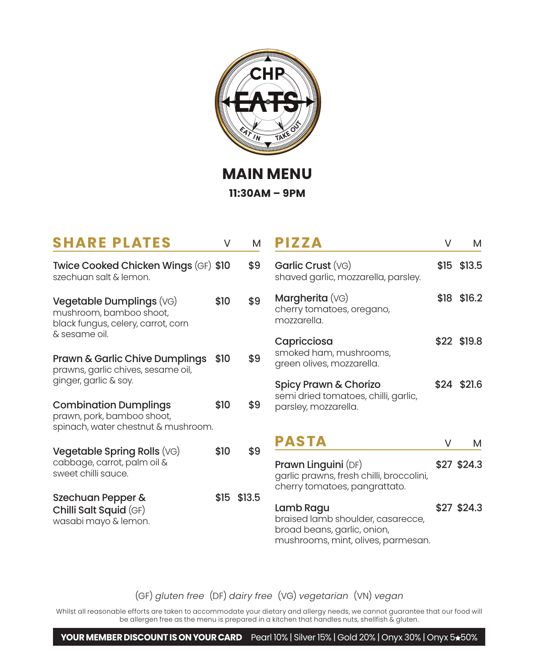

**MAIN MENU 11:30AM – 9PM**

| <b>SHARE PLATES</b>                                                                                        | V    | м           |
|------------------------------------------------------------------------------------------------------------|------|-------------|
| Twice Cooked Chicken Wings (GF) \$10<br>szechuan salt & lemon.                                             |      | \$9         |
| Vegetable Dumplings (VG)<br>mushroom, bamboo shoot,<br>black fungus, celery, carrot, corn<br>& sesame oil. | \$10 | \$9         |
| Prawn & Garlic Chive Dumplings<br>prawns, garlic chives, sesame oil,<br>ginger, garlic & soy.              | \$10 | \$9         |
| <b>Combination Dumplings</b><br>prawn, pork, bamboo shoot,<br>spinach, water chestnut & mushroom.          | \$10 | \$9         |
| Vegetable Spring Rolls (VG)<br>cabbage, carrot, palm oil &<br>sweet chilli squce.                          | \$10 | \$9         |
| Szechuan Pepper &<br>Chilli Salt Squid (GF)<br>wasabi mayo & lemon.                                        |      | \$15 \$13.5 |

| V | M      | <b>PIZZA</b>                                                                                                        | V    | М            |
|---|--------|---------------------------------------------------------------------------------------------------------------------|------|--------------|
| 0 | \$9    | Garlic Crust (VG)<br>shaved garlic, mozzarella, parsley.                                                            |      | $$15$ \$13.5 |
| 0 | \$9    | Margherita (VG)<br>cherry tomatoes, oregano,<br>mozzarella.                                                         | \$18 | \$16.2       |
| 0 | \$9    | Capricciosa<br>smoked ham, mushrooms,<br>green olives, mozzarella.                                                  |      | \$22 \$19.8  |
| 0 | \$9    | Spicy Prawn & Chorizo<br>semi dried tomatoes, chilli, garlic,<br>parsley, mozzarella.                               |      | \$24 \$21.6  |
| 0 | \$9    | <b>PASTA</b>                                                                                                        | V    | М            |
|   |        | Prawn Linguini (DF)<br>garlic prawns, fresh chilli, broccolini,<br>cherry tomatoes, pangrattato.                    |      | \$27 \$24.3  |
| 5 | \$13.5 | Lamb Ragu<br>braised lamb shoulder, casarecce,<br>broad beans, garlic, onion,<br>mushrooms, mint, olives, parmesan. |      | \$27 \$24.3  |

(GF) *gluten free* (DF) *dairy free* (VG) *vegetarian* (VN) *vegan*

Whilst all reasonable efforts are taken to accommodate your dietary and allergy needs, we cannot guarantee that our food will be allergen free as the menu is prepared in a kitchen that handles nuts, shellfish & gluten.

## **YOUR MEMBER DISCOUNT IS ON YOUR CARD** Pearl 10% | Silver 15% | Gold 20% | Onyx 30% | Onyx 5<sup>\*50</sup>%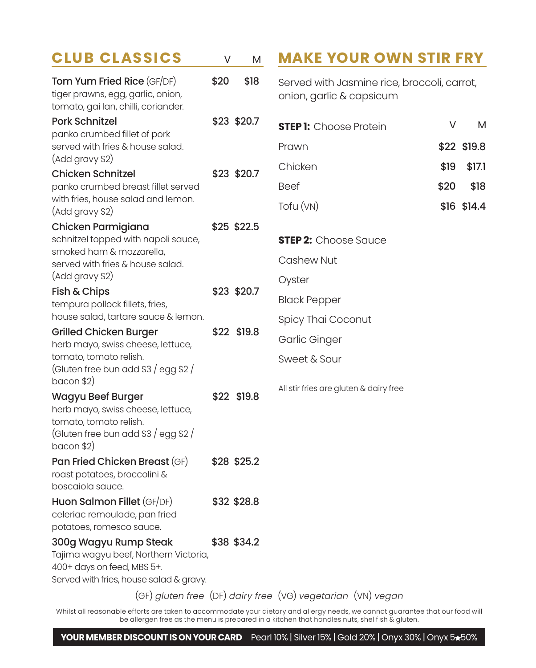| <b>CLUB CLASSICS</b>                                                                                   | V    | M           | <b>MAKE YOUR OWN STIR FRY</b>                                           |             |
|--------------------------------------------------------------------------------------------------------|------|-------------|-------------------------------------------------------------------------|-------------|
| Tom Yum Fried Rice (GF/DF)<br>tiger prawns, egg, garlic, onion,<br>tomato, gai lan, chilli, coriander. | \$20 | \$18        | Served with Jasmine rice, broccoli, carrot,<br>onion, garlic & capsicum |             |
| <b>Pork Schnitzel</b><br>panko crumbed fillet of pork                                                  |      | \$23 \$20.7 | <b>STEP 1:</b> Choose Protein                                           | V<br>M      |
| served with fries & house salad.                                                                       |      |             | Prawn                                                                   | \$22 \$19.8 |
| (Add gravy \$2)<br>Chicken Schnitzel                                                                   |      | \$23 \$20.7 | Chicken<br>\$19                                                         | \$17.1      |
| panko crumbed breast fillet served                                                                     |      |             | <b>Beef</b><br>\$20                                                     | \$18        |
| with fries, house salad and lemon.<br>(Add gravy \$2)                                                  |      |             | Tofu (VN)                                                               | \$16 \$14.4 |
| Chicken Parmigiana                                                                                     |      | \$25 \$22.5 |                                                                         |             |
| schnitzel topped with napoli sauce,<br>smoked ham & mozzarella,                                        |      |             | <b>STEP 2:</b> Choose Sauce                                             |             |
| served with fries & house salad.                                                                       |      |             | Cashew Nut                                                              |             |
| (Add gravy \$2)                                                                                        |      |             | Oyster                                                                  |             |
| Fish & Chips<br>tempura pollock fillets, fries,                                                        |      | \$23 \$20.7 | <b>Black Pepper</b>                                                     |             |
| house salad, tartare sauce & lemon.                                                                    |      |             | Spicy Thai Coconut                                                      |             |
| <b>Grilled Chicken Burger</b><br>herb mayo, swiss cheese, lettuce,                                     |      | \$22 \$19.8 | Garlic Ginger                                                           |             |
| tomato, tomato relish.                                                                                 |      |             | Sweet & Sour                                                            |             |
| (Gluten free bun add \$3 / egg \$2 /                                                                   |      |             |                                                                         |             |
| $bacon$ \$2)<br>Wagyu Beef Burger                                                                      |      | \$22 \$19.8 | All stir fries are gluten & dairy free                                  |             |
| herb mayo, swiss cheese, lettuce,                                                                      |      |             |                                                                         |             |
| tomato, tomato relish.                                                                                 |      |             |                                                                         |             |
| (Gluten free bun add \$3 / egg \$2 /<br>bacon \$2)                                                     |      |             |                                                                         |             |
| <b>Pan Fried Chicken Breast (GF)</b>                                                                   |      | \$28 \$25.2 |                                                                         |             |
| roast potatoes, broccolini &<br>boscaiola sauce.                                                       |      |             |                                                                         |             |
| Huon Salmon Fillet (GF/DF)                                                                             |      | \$32 \$28.8 |                                                                         |             |
| celeriac remoulade, pan fried                                                                          |      |             |                                                                         |             |
| potatoes, romesco sauce.                                                                               |      |             |                                                                         |             |
| 300g Wagyu Rump Steak<br>Tajima wagyu beef, Northern Victoria,                                         |      | \$38 \$34.2 |                                                                         |             |
| 400+ days on feed, MBS 5+.                                                                             |      |             |                                                                         |             |
| Served with fries, house salad & gravy.                                                                |      |             |                                                                         |             |
|                                                                                                        |      |             | (GF) gluten free (DF) dairy free (VG) vegetarian (VN) vegan             |             |

Whilst all reasonable efforts are taken to accommodate your dietary and allergy needs, we cannot guarantee that our food will be allergen free as the menu is prepared in a kitchen that handles nuts, shellfish & gluten.

## YOUR MEMBER DISCOUNT IS ON YOUR CARD Pearl 10% | Silver 15% | Gold 20% | Onyx 30% | Onyx 5<sup>\*50%</sup>